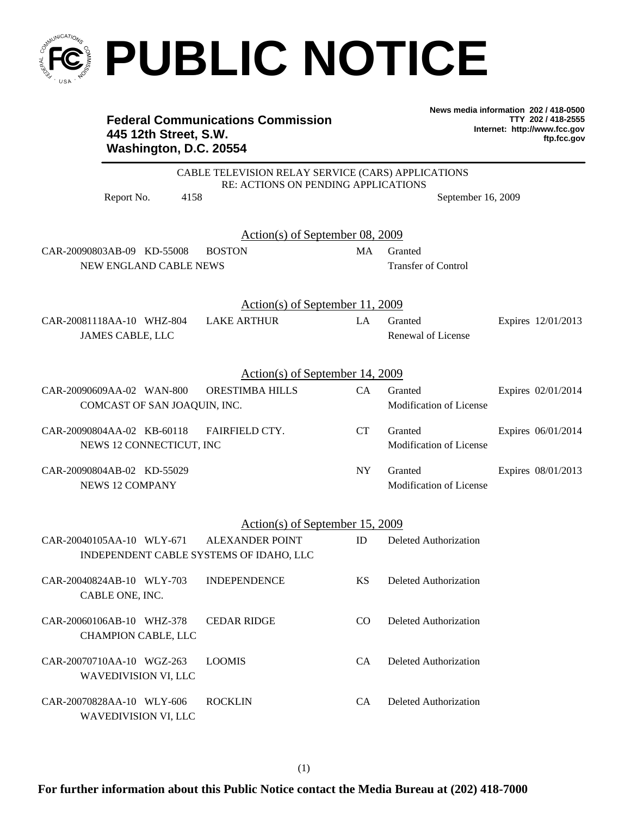

## **PUBLIC NOTICE**

## **Federal Communications Commission 445 12th Street, S.W. Washington, D.C. 20554**

**News media information 202 / 418-0500 TTY 202 / 418-2555 Internet: http://www.fcc.gov ftp.fcc.gov**

|                                         | CABLE TELEVISION RELAY SERVICE (CARS) APPLICATIONS |           |                              |                    |  |
|-----------------------------------------|----------------------------------------------------|-----------|------------------------------|--------------------|--|
| Report No.<br>4158                      | RE: ACTIONS ON PENDING APPLICATIONS                |           | September 16, 2009           |                    |  |
|                                         | <u>Action(s) of September 08, 2009</u>             |           |                              |                    |  |
| CAR-20090803AB-09 KD-55008              | <b>BOSTON</b>                                      | MA        | Granted                      |                    |  |
| NEW ENGLAND CABLE NEWS                  |                                                    |           | Transfer of Control          |                    |  |
|                                         | <u>Action(s) of September 11, 2009</u>             |           |                              |                    |  |
| CAR-20081118AA-10 WHZ-804               | <b>LAKE ARTHUR</b>                                 | LA        | Granted                      | Expires 12/01/2013 |  |
| JAMES CABLE, LLC                        |                                                    |           | Renewal of License           |                    |  |
|                                         | Action(s) of September 14, 2009                    |           |                              |                    |  |
| CAR-20090609AA-02 WAN-800               | ORESTIMBA HILLS                                    | CA        | Granted                      | Expires 02/01/2014 |  |
| COMCAST OF SAN JOAQUIN, INC.            |                                                    |           | Modification of License      |                    |  |
| CAR-20090804AA-02 KB-60118              | FAIRFIELD CTY.                                     | CT        | Granted                      | Expires 06/01/2014 |  |
| NEWS 12 CONNECTICUT, INC                |                                                    |           | Modification of License      |                    |  |
| CAR-20090804AB-02 KD-55029              |                                                    | <b>NY</b> | Granted                      | Expires 08/01/2013 |  |
| <b>NEWS 12 COMPANY</b>                  |                                                    |           | Modification of License      |                    |  |
|                                         | Action(s) of September 15, 2009                    |           |                              |                    |  |
| CAR-20040105AA-10 WLY-671               | <b>ALEXANDER POINT</b>                             | ID        | Deleted Authorization        |                    |  |
| INDEPENDENT CABLE SYSTEMS OF IDAHO, LLC |                                                    |           |                              |                    |  |
| CAR-20040824AB-10 WLY-703               | <b>INDEPENDENCE</b>                                | KS        | Deleted Authorization        |                    |  |
| CABLE ONE, INC.                         |                                                    |           |                              |                    |  |
| CAR-20060106AB-10 WHZ-378 CEDAR RIDGE   |                                                    |           | CO Deleted Authorization     |                    |  |
| CHAMPION CABLE, LLC                     |                                                    |           |                              |                    |  |
| CAR-20070710AA-10 WGZ-263               | <b>LOOMIS</b>                                      | <b>CA</b> | <b>Deleted Authorization</b> |                    |  |
| WAVEDIVISION VI, LLC                    |                                                    |           |                              |                    |  |
| CAR-20070828AA-10 WLY-606               | <b>ROCKLIN</b>                                     | CA        | <b>Deleted Authorization</b> |                    |  |
| <b>WAVEDIVISION VI, LLC</b>             |                                                    |           |                              |                    |  |